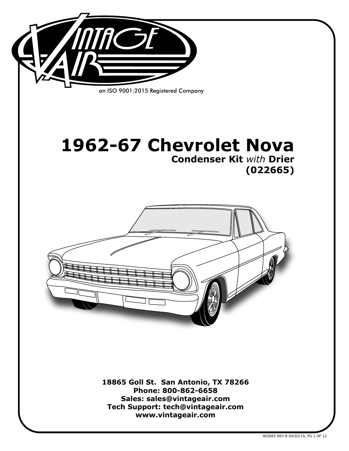

**18865 Goll St. San Antonio, TX 78266 Phone: 800-862-6658 Sales: sales@vintageair.com Tech Support: tech@vintageair.com www.vintageair.com**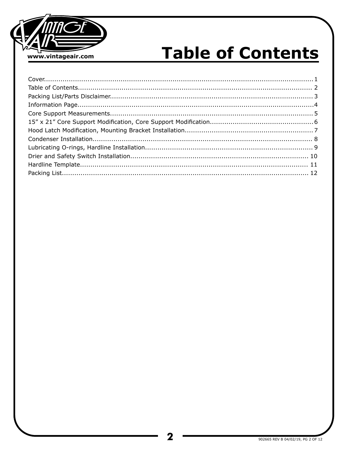

# **Table of Contents**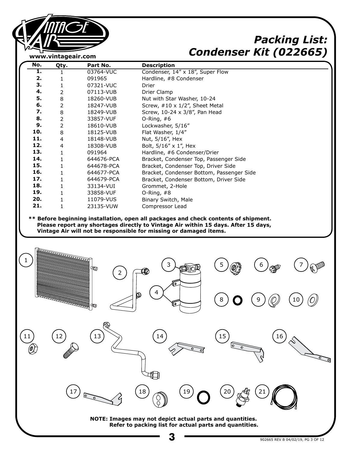

# *Packing List: Condenser Kit (022665)*

| No. | Qty.           | Part No.   | <b>Description</b>                        |
|-----|----------------|------------|-------------------------------------------|
| 1.  | 1              | 03764-VUC  | Condenser, 14" x 18", Super Flow          |
| 2.  | 1              | 091965     | Hardline, #8 Condenser                    |
| 3.  | $\mathbf 1$    | 07321-VUC  | Drier                                     |
| 4.  | $\overline{2}$ | 07113-VUB  | Drier Clamp                               |
| 5.  | $\,8\,$        | 18260-VUB  | Nut with Star Washer, 10-24               |
| 6.  | $\overline{2}$ | 18247-VUB  | Screw, #10 x 1/2", Sheet Metal            |
| 7.  | $\,8\,$        | 18249-VUB  | Screw, 10-24 x 3/8", Pan Head             |
| 8.  | $\overline{2}$ | 33857-VUF  | O-Ring, $#6$                              |
| 9.  | $\overline{2}$ | 18610-VUB  | Lockwasher, 5/16"                         |
| 10. | $\,8\,$        | 18125-VUB  | Flat Washer, 1/4"                         |
| 11. | $\overline{4}$ | 18148-VUB  | Nut, 5/16", Hex                           |
| 12. | $\overline{4}$ | 18308-VUB  | Bolt, 5/16" x 1", Hex                     |
| 13. | $\mathbf{1}$   | 091964     | Hardline, #6 Condenser/Drier              |
| 14. | $\mathbf{1}$   | 644676-PCA | Bracket, Condenser Top, Passenger Side    |
| 15. | 1              | 644678-PCA | Bracket, Condenser Top, Driver Side       |
| 16. | $\mathbf{1}$   | 644677-PCA | Bracket, Condenser Bottom, Passenger Side |
| 17. | 1              | 644679-PCA | Bracket, Condenser Bottom, Driver Side    |
| 18. | $\mathbf{1}$   | 33134-VUI  | Grommet, 2-Hole                           |
| 19. | $\mathbf{1}$   | 33858-VUF  | O-Ring, $#8$                              |
| 20. | $\mathbf{1}$   | 11079-VUS  | Binary Switch, Male                       |
| 21. | 1              | 23135-VUW  | Compressor Lead                           |

 **Please report any shortages directly to Vintage Air within 15 days. After 15 days, Vintage Air will not be responsible for missing or damaged items.**

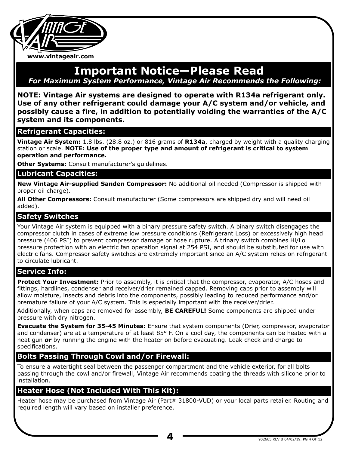

#### **Important Notice—Please Read** *For Maximum System Performance, Vintage Air Recommends the Following:*

**NOTE: Vintage Air systems are designed to operate with R134a refrigerant only. Use of any other refrigerant could damage your A/C system and/or vehicle, and possibly cause a fire, in addition to potentially voiding the warranties of the A/C system and its components.**

#### **Refrigerant Capacities:**

**Vintage Air System:** 1.8 lbs. (28.8 oz.) or 816 grams of **R134a**, charged by weight with a quality charging station or scale. **NOTE: Use of the proper type and amount of refrigerant is critical to system operation and performance.**

**Other Systems:** Consult manufacturer's guidelines.

#### **Lubricant Capacities:**

**New Vintage Air-supplied Sanden Compressor:** No additional oil needed (Compressor is shipped with proper oil charge).

**All Other Compressors:** Consult manufacturer (Some compressors are shipped dry and will need oil added).

#### **Safety Switches**

Your Vintage Air system is equipped with a binary pressure safety switch. A binary switch disengages the compressor clutch in cases of extreme low pressure conditions (Refrigerant Loss) or excessively high head pressure (406 PSI) to prevent compressor damage or hose rupture. A trinary switch combines Hi/Lo pressure protection with an electric fan operation signal at 254 PSI, and should be substituted for use with electric fans. Compressor safety switches are extremely important since an A/C system relies on refrigerant to circulate lubricant.

#### **Service Info:**

**Protect Your Investment:** Prior to assembly, it is critical that the compressor, evaporator, A/C hoses and fittings, hardlines, condenser and receiver/drier remained capped. Removing caps prior to assembly will allow moisture, insects and debris into the components, possibly leading to reduced performance and/or premature failure of your A/C system. This is especially important with the receiver/drier.

Additionally, when caps are removed for assembly, **BE CAREFUL!** Some components are shipped under pressure with dry nitrogen.

**Evacuate the System for 35-45 Minutes:** Ensure that system components (Drier, compressor, evaporator and condenser) are at a temperature of at least 85° F. On a cool day, the components can be heated with a heat gun *or* by running the engine with the heater on before evacuating. Leak check and charge to specifications.

#### **Bolts Passing Through Cowl and/or Firewall:**

To ensure a watertight seal between the passenger compartment and the vehicle exterior, for all bolts passing through the cowl and/or firewall, Vintage Air recommends coating the threads with silicone prior to installation.

#### **Heater Hose (Not Included With This Kit):**

Heater hose may be purchased from Vintage Air (Part# 31800-VUD) or your local parts retailer. Routing and required length will vary based on installer preference.

**4**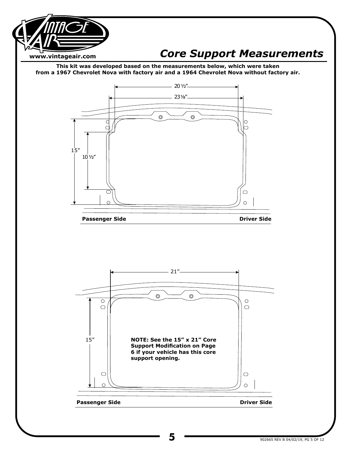

## *Core Support Measurements*

**This kit was developed based on the measurements below, which were taken from a 1967 Chevrolet Nova with factory air and a 1964 Chevrolet Nova without factory air.**



**Passenger Side Driver Side Driver Side** 

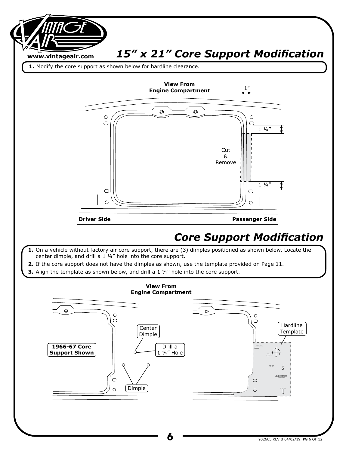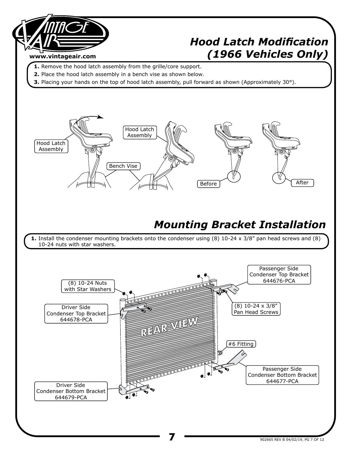

# *Hood Latch Modification (1966 Vehicles Only)*

- **1.** Remove the hood latch assembly from the grille/core support.
- **2.** Place the hood latch assembly in a bench vise as shown below.
- **3.** Placing your hands on the top of hood latch assembly, pull forward as shown (Approximately 30°).

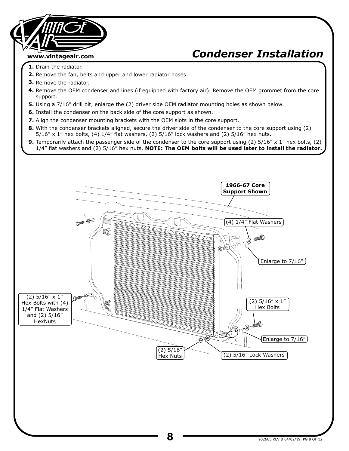# **www.vintageair.com**

# *Condenser Installation*

- **1.** Drain the radiator.
- **2.** Remove the fan, belts and upper and lower radiator hoses.
- **3.** Remove the radiator.
- **4.** Remove the OEM condenser and lines (if equipped with factory air). Remove the OEM grommet from the core support.
- **5.** Using a 7/16" drill bit, enlarge the (2) driver side OEM radiator mounting holes as shown below.
- **6.** Install the condenser on the back side of the core support as shown.
- **7.** Align the condenser mounting brackets with the OEM slots in the core support.
- **8.** With the condenser brackets aligned, secure the driver side of the condenser to the core support using (2)  $5/16''$  x 1" hex bolts, (4)  $1/4''$  flat washers, (2)  $5/16''$  lock washers and (2)  $5/16''$  hex nuts.
- **9.** Temporarily attach the passenger side of the condenser to the core support using (2) 5/16" x 1" hex bolts, (2) 1/4" flat washers and (2) 5/16" hex nuts. **NOTE: The OEM bolts will be used later to install the radiator.**

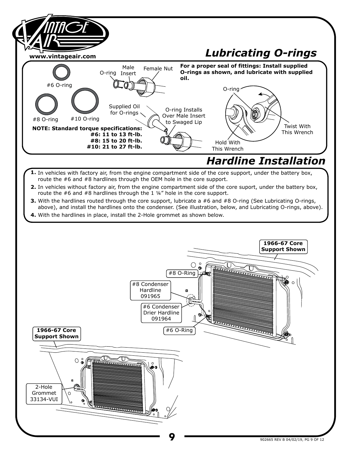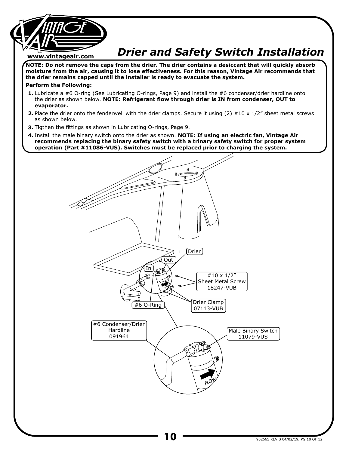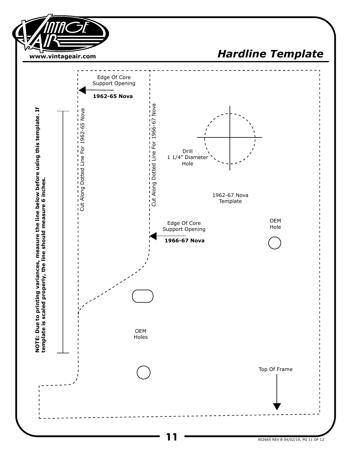